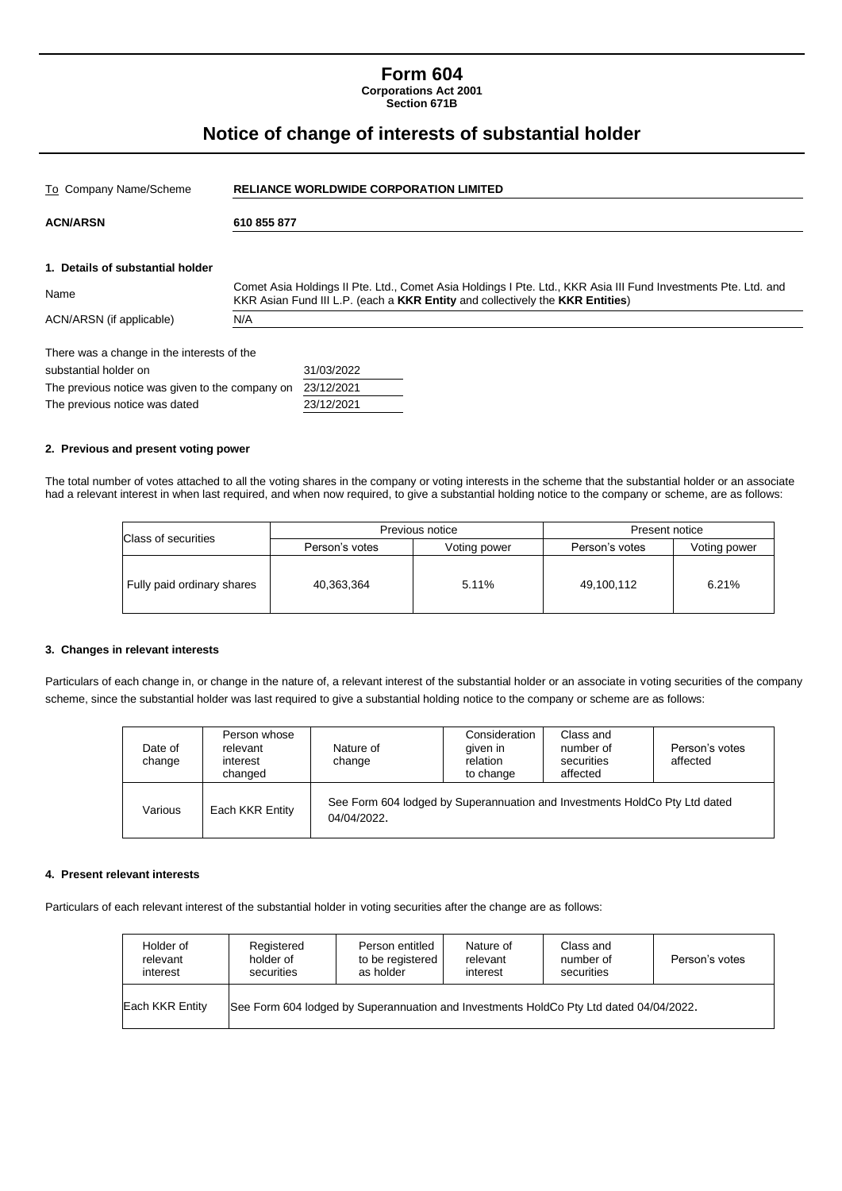### **Form 604 Corporations Act 2001**

**Section 671B**

# **Notice of change of interests of substantial holder**

| To Company Name/Scheme                          | <b>RELIANCE WORLDWIDE CORPORATION LIMITED</b>                                                                                                                                                   |  |  |
|-------------------------------------------------|-------------------------------------------------------------------------------------------------------------------------------------------------------------------------------------------------|--|--|
| <b>ACN/ARSN</b><br>610 855 877                  |                                                                                                                                                                                                 |  |  |
|                                                 |                                                                                                                                                                                                 |  |  |
| 1. Details of substantial holder                |                                                                                                                                                                                                 |  |  |
| Name                                            | Comet Asia Holdings II Pte. Ltd., Comet Asia Holdings I Pte. Ltd., KKR Asia III Fund Investments Pte. Ltd. and<br>KKR Asian Fund III L.P. (each a KKR Entity and collectively the KKR Entities) |  |  |
| ACN/ARSN (if applicable)<br>N/A                 |                                                                                                                                                                                                 |  |  |
| There was a change in the interests of the      |                                                                                                                                                                                                 |  |  |
| substantial holder on                           | 31/03/2022                                                                                                                                                                                      |  |  |
| The previous notice was given to the company on | 23/12/2021                                                                                                                                                                                      |  |  |
| The previous notice was dated                   | 23/12/2021                                                                                                                                                                                      |  |  |

#### **2. Previous and present voting power**

The total number of votes attached to all the voting shares in the company or voting interests in the scheme that the substantial holder or an associate had a relevant interest in when last required, and when now required, to give a substantial holding notice to the company or scheme, are as follows:

| Class of securities        |                | Previous notice | Present notice |              |
|----------------------------|----------------|-----------------|----------------|--------------|
|                            | Person's votes | Voting power    | Person's votes | Voting power |
| Fully paid ordinary shares | 40,363,364     | 5.11%           | 49,100,112     | 6.21%        |

#### **3. Changes in relevant interests**

Particulars of each change in, or change in the nature of, a relevant interest of the substantial holder or an associate in voting securities of the company scheme, since the substantial holder was last required to give a substantial holding notice to the company or scheme are as follows:

| Date of<br>change | Person whose<br>relevant<br>interest<br>changed | Nature of<br>change                                                                       | Consideration<br>given in<br>relation<br>to change | Class and<br>number of<br>securities<br>affected | Person's votes<br>affected |
|-------------------|-------------------------------------------------|-------------------------------------------------------------------------------------------|----------------------------------------------------|--------------------------------------------------|----------------------------|
| Various           | Each KKR Entity                                 | See Form 604 lodged by Superannuation and Investments HoldCo Pty Ltd dated<br>04/04/2022. |                                                    |                                                  |                            |

#### **4. Present relevant interests**

Particulars of each relevant interest of the substantial holder in voting securities after the change are as follows:

| Holder of       | Registered                                                                             | Person entitled  | Nature of | Class and  | Person's votes |
|-----------------|----------------------------------------------------------------------------------------|------------------|-----------|------------|----------------|
| relevant        | holder of                                                                              | to be registered | relevant  | number of  |                |
| interest        | securities                                                                             | as holder        | interest  | securities |                |
| Each KKR Entity | See Form 604 lodged by Superannuation and Investments HoldCo Pty Ltd dated 04/04/2022. |                  |           |            |                |